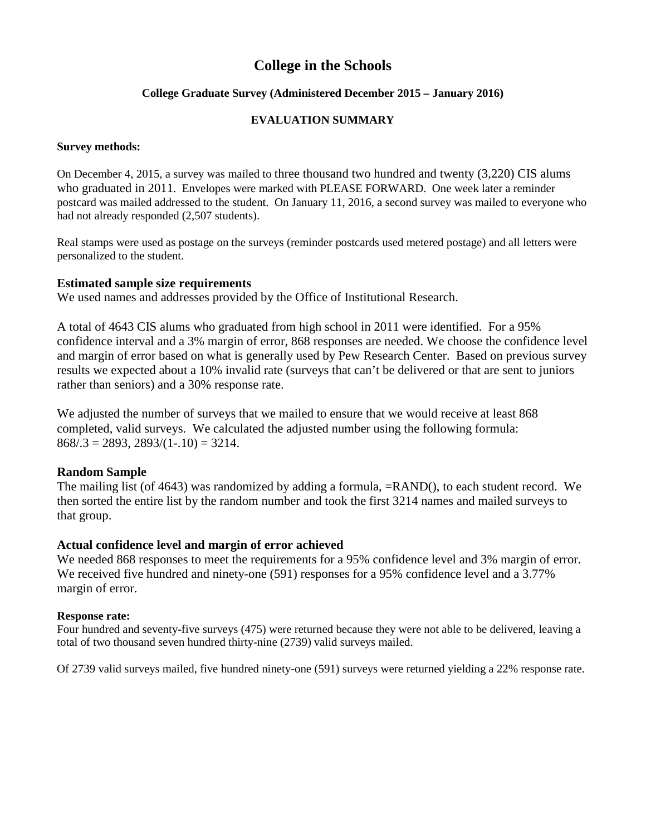# **College in the Schools**

# **College Graduate Survey (Administered December 2015 – January 2016)**

# **EVALUATION SUMMARY**

## **Survey methods:**

On December 4, 2015, a survey was mailed to three thousand two hundred and twenty (3,220) CIS alums who graduated in 2011. Envelopes were marked with PLEASE FORWARD. One week later a reminder postcard was mailed addressed to the student. On January 11, 2016, a second survey was mailed to everyone who had not already responded (2,507 students).

Real stamps were used as postage on the surveys (reminder postcards used metered postage) and all letters were personalized to the student.

# **Estimated sample size requirements**

We used names and addresses provided by the Office of Institutional Research.

A total of 4643 CIS alums who graduated from high school in 2011 were identified. For a 95% confidence interval and a 3% margin of error, 868 responses are needed. We choose the confidence level and margin of error based on what is generally used by Pew Research Center. Based on previous survey results we expected about a 10% invalid rate (surveys that can't be delivered or that are sent to juniors rather than seniors) and a 30% response rate.

We adjusted the number of surveys that we mailed to ensure that we would receive at least 868 completed, valid surveys. We calculated the adjusted number using the following formula:  $868/.3 = 2893, 2893/(1-.10) = 3214.$ 

# **Random Sample**

The mailing list (of 4643) was randomized by adding a formula, =RAND(), to each student record. We then sorted the entire list by the random number and took the first 3214 names and mailed surveys to that group.

# **Actual confidence level and margin of error achieved**

We needed 868 responses to meet the requirements for a 95% confidence level and 3% margin of error. We received five hundred and ninety-one (591) responses for a 95% confidence level and a 3.77% margin of error.

# **Response rate:**

Four hundred and seventy-five surveys (475) were returned because they were not able to be delivered, leaving a total of two thousand seven hundred thirty-nine (2739) valid surveys mailed.

Of 2739 valid surveys mailed, five hundred ninety-one (591) surveys were returned yielding a 22% response rate.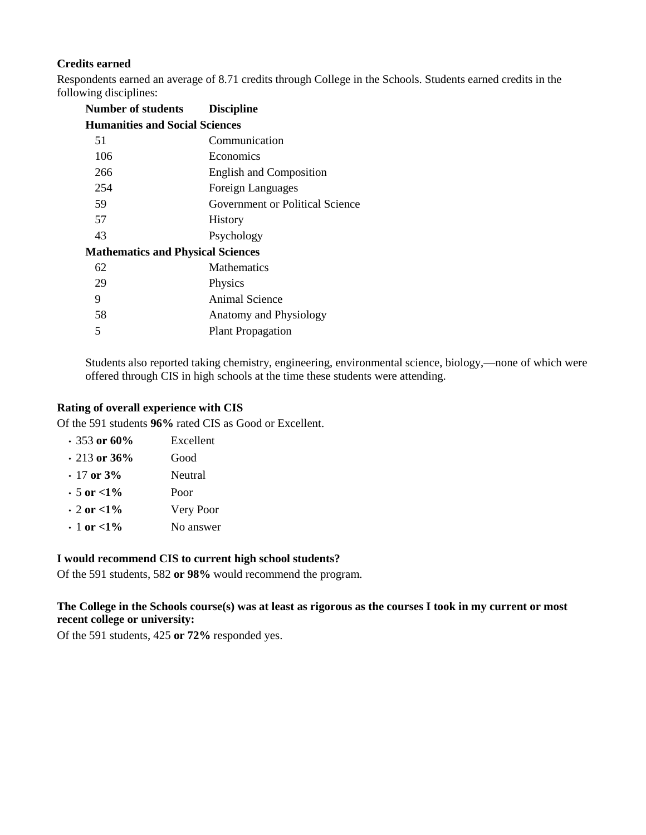# **Credits earned**

Respondents earned an average of 8.71 credits through College in the Schools. Students earned credits in the following disciplines:

| <b>Number of students</b>                | <b>Discipline</b>               |
|------------------------------------------|---------------------------------|
| <b>Humanities and Social Sciences</b>    |                                 |
| 51                                       | Communication                   |
| 106                                      | Economics                       |
| 266                                      | <b>English and Composition</b>  |
| 254                                      | Foreign Languages               |
| 59                                       | Government or Political Science |
| 57                                       | <b>History</b>                  |
| 43                                       | Psychology                      |
| <b>Mathematics and Physical Sciences</b> |                                 |
| 62                                       | <b>Mathematics</b>              |
| 29                                       | Physics                         |
| 9                                        | Animal Science                  |
| 58                                       | Anatomy and Physiology          |
| 5                                        | <b>Plant Propagation</b>        |

Students also reported taking chemistry, engineering, environmental science, biology,—none of which were offered through CIS in high schools at the time these students were attending.

#### **Rating of overall experience with CIS**

Of the 591 students **96%** rated CIS as Good or Excellent.

| $.353$ or 60%       | Excellent |
|---------------------|-----------|
| $\cdot$ 213 or 36%  | Good      |
| $\cdot$ 17 or 3%    | Neutral   |
| $\cdot 5$ or $<$ 1% | Poor      |
| $\cdot$ 2 or $<$ 1% | Very Poor |
| $\cdot$ 1 or <1%    | No answer |

#### **I would recommend CIS to current high school students?**

Of the 591 students, 582 **or 98%** would recommend the program.

## **The College in the Schools course(s) was at least as rigorous as the courses I took in my current or most recent college or university:**

Of the 591 students, 425 **or 72%** responded yes.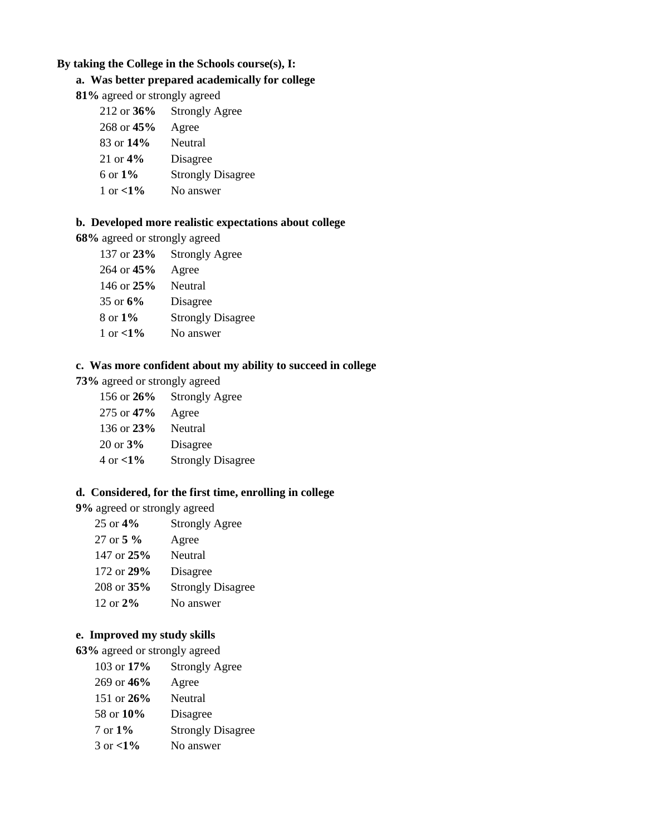# **By taking the College in the Schools course(s), I:**

# **a. Was better prepared academically for college**

**81%** agreed or strongly agreed

| $212$ or $36\%$ | <b>Strongly Agree</b>    |
|-----------------|--------------------------|
| 268 or $45%$    | Agree                    |
| $83$ or $14\%$  | <b>Neutral</b>           |
| 21 or $4\%$     | Disagree                 |
| 6 or $1\%$      | <b>Strongly Disagree</b> |
| 1 or $< 1\%$    | No answer                |

# **b. Developed more realistic expectations about college**

**68%** agreed or strongly agreed

| 137 or $23%$        | <b>Strongly Agree</b>    |
|---------------------|--------------------------|
| $264$ or $45%$      | Agree                    |
| 146 or $25%$        | Neutral                  |
| 35 or $6\%$         | Disagree                 |
| $8 \text{ or } 1\%$ | <b>Strongly Disagree</b> |
| 1 or $< 1\%$        | No answer                |
|                     |                          |

# **c. Was more confident about my ability to succeed in college**

**73%** agreed or strongly agreed

| 156 or $26\%$        | <b>Strongly Agree</b>    |
|----------------------|--------------------------|
| 275 or 47%           | Agree                    |
| 136 or $23%$         | Neutral                  |
| $20 \text{ or } 3\%$ | Disagree                 |
| 4 or $< 1\%$         | <b>Strongly Disagree</b> |

### **d. Considered, for the first time, enrolling in college**

**9%** agreed or strongly agreed

| 25 or $4\%$     | <b>Strongly Agree</b>    |
|-----------------|--------------------------|
| 27 or $5\%$     | Agree                    |
| 147 or $25%$    | Neutral                  |
| 172 or $29\%$   | Disagree                 |
| $208$ or $35\%$ | <b>Strongly Disagree</b> |
| 12 or $2\%$     | No answer                |

# **e. Improved my study skills**

**63%** agreed or strongly agreed

| 103 or $17\%$       | <b>Strongly Agree</b>    |
|---------------------|--------------------------|
| 269 or 46%          | Agree                    |
| 151 or $26\%$       | Neutral                  |
| 58 or 10%           | Disagree                 |
| $7 \text{ or } 1\%$ | <b>Strongly Disagree</b> |
| $3 \text{ or } 1%$  | No answer                |
|                     |                          |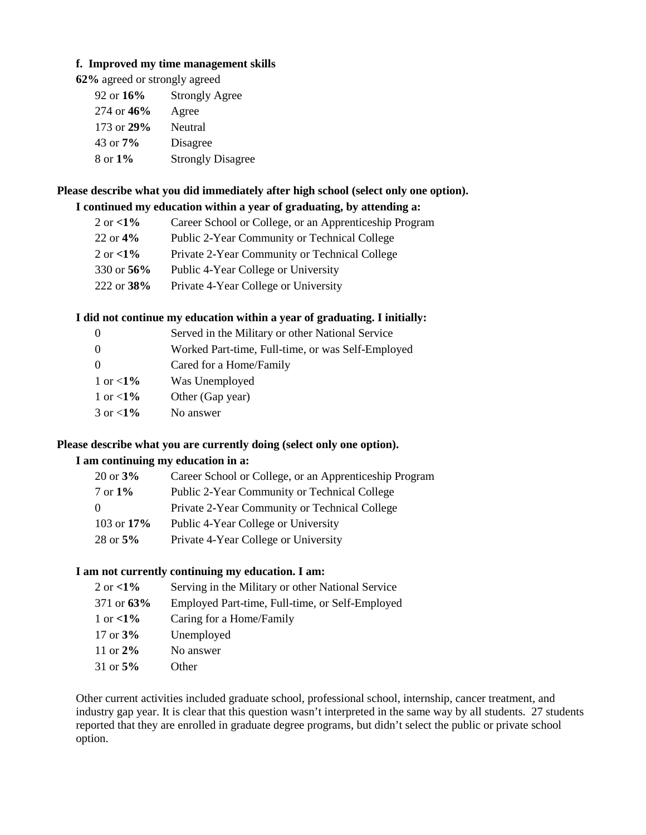# **f. Improved my time management skills**

**62%** agreed or strongly agreed

| 92 or $16\%$ | <b>Strongly Agree</b>    |
|--------------|--------------------------|
| 274 or 46%   | Agree                    |
| 173 or $29%$ | Neutral                  |
| 43 or $7\%$  | Disagree                 |
| 8 or 1%      | <b>Strongly Disagree</b> |

# **Please describe what you did immediately after high school (select only one option).**

# **I continued my education within a year of graduating, by attending a:**

| 2 or $<1\%$   | Career School or College, or an Apprenticeship Program |
|---------------|--------------------------------------------------------|
| $22$ or $4\%$ | Public 2-Year Community or Technical College           |
| 2 or $<1\%$   | Private 2-Year Community or Technical College          |
| 330 or 56%    | Public 4-Year College or University                    |
| 222 or $38\%$ | Private 4-Year College or University                   |

## **I did not continue my education within a year of graduating. I initially:**

| $\theta$    | Served in the Military or other National Service  |
|-------------|---------------------------------------------------|
| $\theta$    | Worked Part-time, Full-time, or was Self-Employed |
| $\Omega$    | Cared for a Home/Family                           |
| 1 or $<1\%$ | Was Unemployed                                    |
| 1 or $<1\%$ | Other (Gap year)                                  |
| 3 or $<1\%$ | No answer                                         |

#### **Please describe what you are currently doing (select only one option).**

# **I am continuing my education in a:**

| $20 \text{ or } 3\%$ | Career School or College, or an Apprenticeship Program |
|----------------------|--------------------------------------------------------|
| $7 \text{ or } 1\%$  | Public 2-Year Community or Technical College           |
| $\Omega$             | Private 2-Year Community or Technical College          |
| 103 or $17\%$        | Public 4-Year College or University                    |
| $28 \text{ or } 5\%$ | Private 4-Year College or University                   |

# **I am not currently continuing my education. I am:**

| 2 or $<1\%$   | Serving in the Military or other National Service |
|---------------|---------------------------------------------------|
| 371 or $63\%$ | Employed Part-time, Full-time, or Self-Employed   |
| 1 or $<1\%$   | Caring for a Home/Family                          |
| 17 or $3\%$   | Unemployed                                        |
| 11 or $2\%$   | No answer                                         |
| 31 or $5%$    | Other                                             |

Other current activities included graduate school, professional school, internship, cancer treatment, and industry gap year. It is clear that this question wasn't interpreted in the same way by all students. 27 students reported that they are enrolled in graduate degree programs, but didn't select the public or private school option.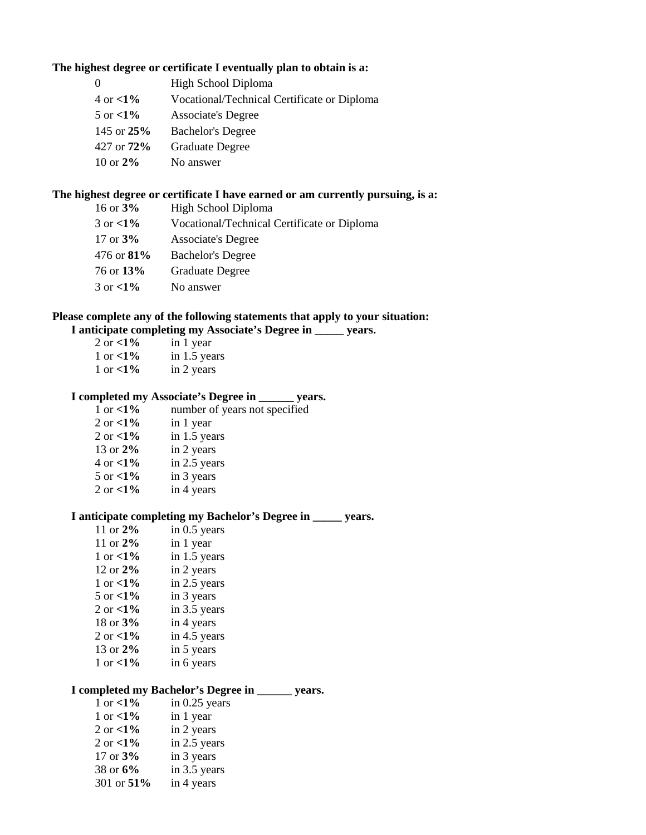### **The highest degree or certificate I eventually plan to obtain is a:**

| $\Omega$           | High School Diploma                         |
|--------------------|---------------------------------------------|
| $4 \text{ or } 1%$ | Vocational/Technical Certificate or Diploma |
| 5 or $\langle 1\%$ | <b>Associate's Degree</b>                   |
| 145 or $25%$       | <b>Bachelor's Degree</b>                    |
| 427 or $72\%$      | <b>Graduate Degree</b>                      |
| 10 or $2\%$        | No answer                                   |

### **The highest degree or certificate I have earned or am currently pursuing, is a:**

| 16 or $3%$    | High School Diploma                         |
|---------------|---------------------------------------------|
| 3 or $<1\%$   | Vocational/Technical Certificate or Diploma |
| 17 or $3\%$   | <b>Associate's Degree</b>                   |
| 476 or $81\%$ | <b>Bachelor's Degree</b>                    |
| 76 or 13%     | <b>Graduate Degree</b>                      |
| 3 or $<1\%$   | No answer                                   |

## **Please complete any of the following statements that apply to your situation: I anticipate completing my Associate's Degree in \_\_\_\_\_ years.**

| 2 or $<1\%$ | in 1 year    |
|-------------|--------------|
| 1 or $<1\%$ | in 1.5 years |
| 1 or $<1\%$ | in 2 years   |

# **I completed my Associate's Degree in \_\_\_\_\_\_ years.**

| 1 or $< 1\%$                 | number of years not specified |
|------------------------------|-------------------------------|
| 2 or $<1\%$<br>in 1 year     |                               |
| in 1.5 years<br>2 or $<1\%$  |                               |
| 13 or $2\%$<br>in 2 years    |                               |
| in 2.5 years<br>4 or $< 1\%$ |                               |
| in 3 years<br>5 or $< 1\%$   |                               |
| in 4 years<br>2 or $<1\%$    |                               |
|                              |                               |

# **I anticipate completing my Bachelor's Degree in \_\_\_\_\_ years.**

| 11 or 2%           | in 0.5 years |
|--------------------|--------------|
| 11 or $2\%$        | in 1 year    |
| 1 or $\langle 1\%$ | in 1.5 years |
| 12 or $2\%$        | in 2 years   |
| 1 or $\langle 1\%$ | in 2.5 years |
| 5 or $<1\%$        | in 3 years   |
| 2 or $<$ 1%        | in 3.5 years |
| 18 or 3%           | in 4 years   |
| 2 or $<$ 1%        | in 4.5 years |
| 13 or 2%           | in 5 years   |
| 1 or $<1\%$        | in 6 years   |

# **I completed my Bachelor's Degree in \_\_\_\_\_\_ years.**

| 1 or $<1\%$  | in $0.25$ years |
|--------------|-----------------|
| 1 or $< 1\%$ | in 1 year       |
| 2 or $<$ 1%  | in 2 years      |
| 2 or $<$ 1%  | in 2.5 years    |
| 17 or 3%     | in 3 years      |
| 38 or 6%     | in 3.5 years    |
| 301 or 51%   | in 4 years      |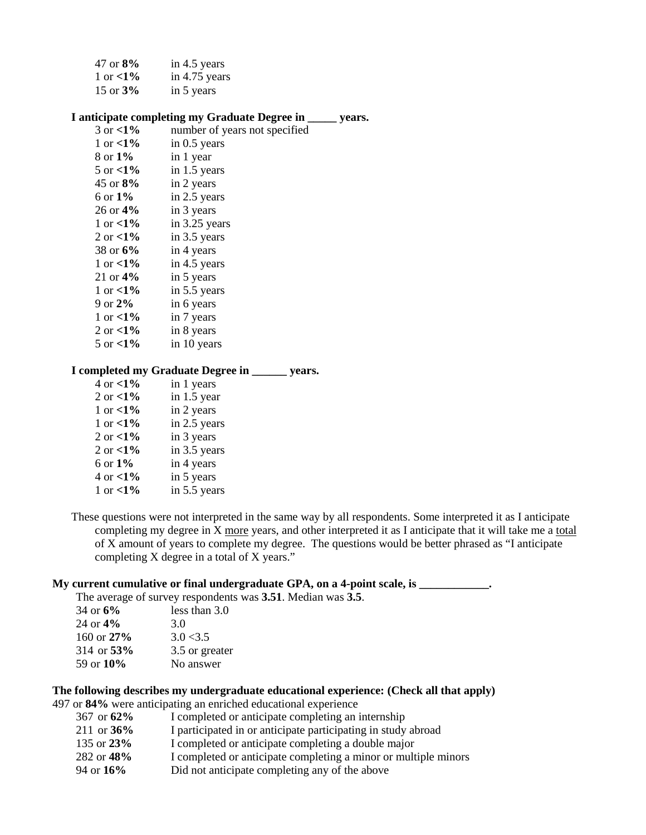| 47 or $8\%$  | in 4.5 years  |
|--------------|---------------|
| 1 or $< 1\%$ | in 4.75 years |
| 15 or $3%$   | in 5 years    |

#### **I anticipate completing my Graduate Degree in \_\_\_\_\_ years.**

| 3 or $< 1\%$         | number of years not specified |
|----------------------|-------------------------------|
| 1 or $< 1\%$         | in $0.5$ years                |
| 8 or 1%              | in 1 year                     |
| 5 or $\langle 1\%$   | in 1.5 years                  |
| 45 or 8%             | in 2 years                    |
| 6 or 1%              | in 2.5 years                  |
| $26 \text{ or } 4\%$ | in 3 years                    |
| 1 or $\langle 1\%$   | in 3.25 years                 |
| 2 or $\lt 1\%$       | in 3.5 years                  |
| 38 or 6%             | in 4 years                    |
| 1 or $< 1\%$         | in 4.5 years                  |
| 21 or $4\%$          | in 5 years                    |
| 1 or $\langle 1\%$   | in 5.5 years                  |
| 9 or $2\%$           | in 6 years                    |
| 1 or $\langle 1\%$   | in 7 years                    |
| 2 or $< 1\%$         | in 8 years                    |
| 5 or $<$ 1%          | in 10 years                   |

#### **I completed my Graduate Degree in \_\_\_\_\_\_ years.**

| in 1 years   |
|--------------|
| in 1.5 year  |
| in 2 years   |
| in 2.5 years |
| in 3 years   |
| in 3.5 years |
| in 4 years   |
| in 5 years   |
| in 5.5 years |
|              |

These questions were not interpreted in the same way by all respondents. Some interpreted it as I anticipate completing my degree in X more years, and other interpreted it as I anticipate that it will take me a total of X amount of years to complete my degree. The questions would be better phrased as "I anticipate completing X degree in a total of X years."

#### **My current cumulative or final undergraduate GPA, on a 4-point scale, is \_\_\_\_\_\_\_\_\_\_\_\_.**

The average of survey respondents was **3.51**. Median was **3.5**.

| less than 3.0  |
|----------------|
| 3.0            |
| 3.0 < 3.5      |
| 3.5 or greater |
| No answer      |
|                |

# **The following describes my undergraduate educational experience: (Check all that apply)**

497 or **84%** were anticipating an enriched educational experience

| 367 or $62\%$ | I completed or anticipate completing an internship              |
|---------------|-----------------------------------------------------------------|
| 211 or $36\%$ | I participated in or anticipate participating in study abroad   |
| 135 or $23\%$ | I completed or anticipate completing a double major             |
| 282 or 48%    | I completed or anticipate completing a minor or multiple minors |
| 94 or $16\%$  | Did not anticipate completing any of the above                  |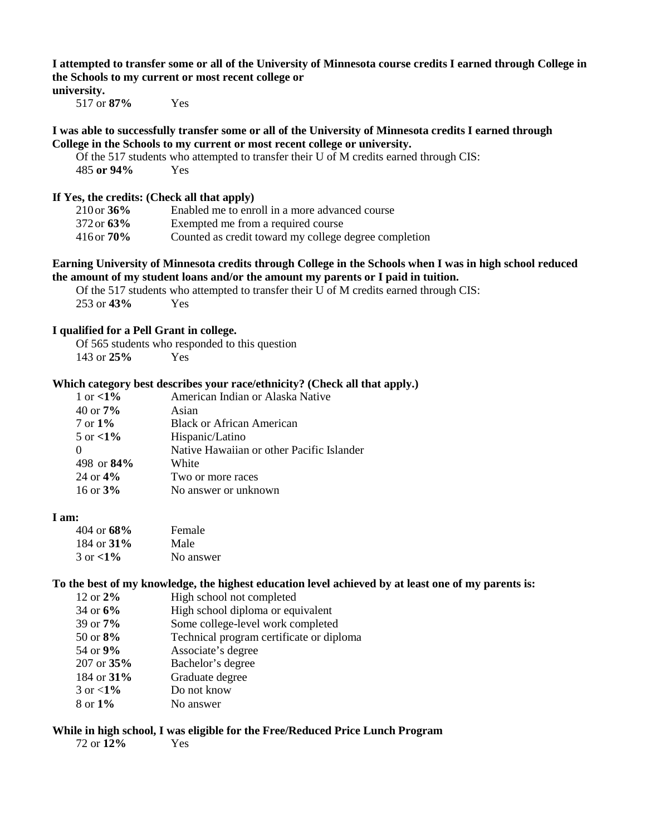**I attempted to transfer some or all of the University of Minnesota course credits I earned through College in the Schools to my current or most recent college or university.**

517 or **87%** Yes

#### **I was able to successfully transfer some or all of the University of Minnesota credits I earned through College in the Schools to my current or most recent college or university.**

Of the 517 students who attempted to transfer their U of M credits earned through CIS: 485 **or 94%** Yes

#### **If Yes, the credits: (Check all that apply)**

| $210$ or $36\%$ | Enabled me to enroll in a more advanced course        |
|-----------------|-------------------------------------------------------|
| $372$ or $63\%$ | Exempted me from a required course                    |
| $416$ or $70\%$ | Counted as credit toward my college degree completion |

#### **Earning University of Minnesota credits through College in the Schools when I was in high school reduced the amount of my student loans and/or the amount my parents or I paid in tuition.**

Of the 517 students who attempted to transfer their U of M credits earned through CIS: 253 or **43%** Yes

#### **I qualified for a Pell Grant in college.**

Of 565 students who responded to this question 143 or **25%** Yes

## **Which category best describes your race/ethnicity? (Check all that apply.)**

| American Indian or Alaska Native          |
|-------------------------------------------|
| Asian                                     |
| <b>Black or African American</b>          |
| Hispanic/Latino                           |
| Native Hawaiian or other Pacific Islander |
| White                                     |
| Two or more races                         |
| No answer or unknown                      |
|                                           |

#### **I am:**

| $404$ or $68\%$     | Female    |
|---------------------|-----------|
| 184 or $31\%$       | Male      |
| $3 \text{ or } 1\%$ | No answer |

#### **To the best of my knowledge, the highest education level achieved by at least one of my parents is:**

| 12 or 2%             | High school not completed                |
|----------------------|------------------------------------------|
| 34 or $6\%$          | High school diploma or equivalent        |
| $39 \text{ or } 7\%$ | Some college-level work completed        |
| 50 or $8\%$          | Technical program certificate or diploma |
| 54 or 9%             | Associate's degree                       |
| $207$ or $35%$       | Bachelor's degree                        |
| 184 or 31%           | Graduate degree                          |
| 3 or $<1\%$          | Do not know                              |
| 8 or 1%              | No answer                                |

#### **While in high school, I was eligible for the Free/Reduced Price Lunch Program**

72 or **12%** Yes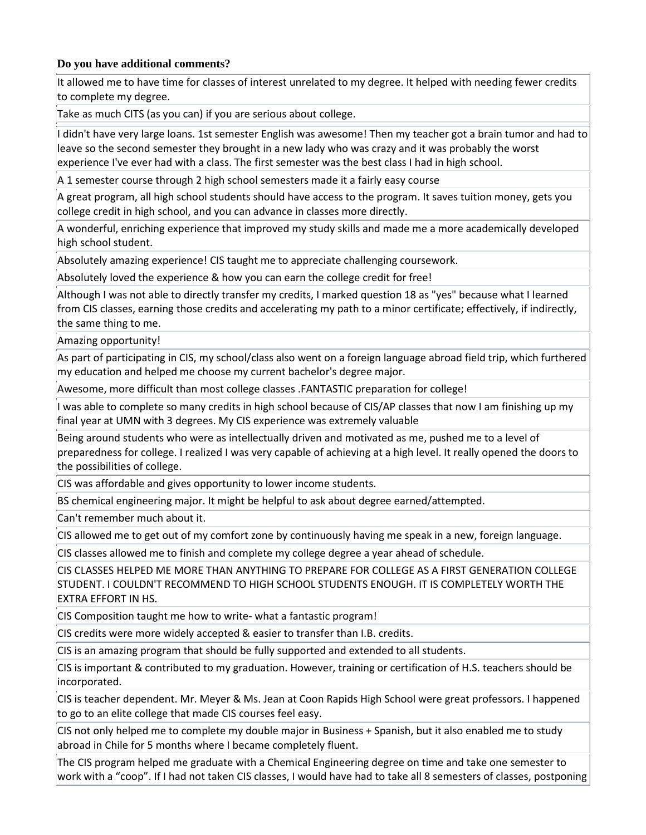## **Do you have additional comments?**

It allowed me to have time for classes of interest unrelated to my degree. It helped with needing fewer credits to complete my degree.

Take as much CITS (as you can) if you are serious about college.

I didn't have very large loans. 1st semester English was awesome! Then my teacher got a brain tumor and had to leave so the second semester they brought in a new lady who was crazy and it was probably the worst experience I've ever had with a class. The first semester was the best class I had in high school.

A 1 semester course through 2 high school semesters made it a fairly easy course

A great program, all high school students should have access to the program. It saves tuition money, gets you college credit in high school, and you can advance in classes more directly.

A wonderful, enriching experience that improved my study skills and made me a more academically developed high school student.

Absolutely amazing experience! CIS taught me to appreciate challenging coursework.

Absolutely loved the experience & how you can earn the college credit for free!

Although I was not able to directly transfer my credits, I marked question 18 as "yes" because what I learned from CIS classes, earning those credits and accelerating my path to a minor certificate; effectively, if indirectly, the same thing to me.

Amazing opportunity!

As part of participating in CIS, my school/class also went on a foreign language abroad field trip, which furthered my education and helped me choose my current bachelor's degree major.

Awesome, more difficult than most college classes .FANTASTIC preparation for college!

I was able to complete so many credits in high school because of CIS/AP classes that now I am finishing up my final year at UMN with 3 degrees. My CIS experience was extremely valuable

Being around students who were as intellectually driven and motivated as me, pushed me to a level of preparedness for college. I realized I was very capable of achieving at a high level. It really opened the doors to the possibilities of college.

CIS was affordable and gives opportunity to lower income students.

BS chemical engineering major. It might be helpful to ask about degree earned/attempted.

Can't remember much about it.

CIS allowed me to get out of my comfort zone by continuously having me speak in a new, foreign language.

CIS classes allowed me to finish and complete my college degree a year ahead of schedule.

CIS CLASSES HELPED ME MORE THAN ANYTHING TO PREPARE FOR COLLEGE AS A FIRST GENERATION COLLEGE STUDENT. I COULDN'T RECOMMEND TO HIGH SCHOOL STUDENTS ENOUGH. IT IS COMPLETELY WORTH THE EXTRA EFFORT IN HS.

CIS Composition taught me how to write- what a fantastic program!

CIS credits were more widely accepted & easier to transfer than I.B. credits.

CIS is an amazing program that should be fully supported and extended to all students.

CIS is important & contributed to my graduation. However, training or certification of H.S. teachers should be incorporated.

CIS is teacher dependent. Mr. Meyer & Ms. Jean at Coon Rapids High School were great professors. I happened to go to an elite college that made CIS courses feel easy.

CIS not only helped me to complete my double major in Business + Spanish, but it also enabled me to study abroad in Chile for 5 months where I became completely fluent.

The CIS program helped me graduate with a Chemical Engineering degree on time and take one semester to work with a "coop". If I had not taken CIS classes, I would have had to take all 8 semesters of classes, postponing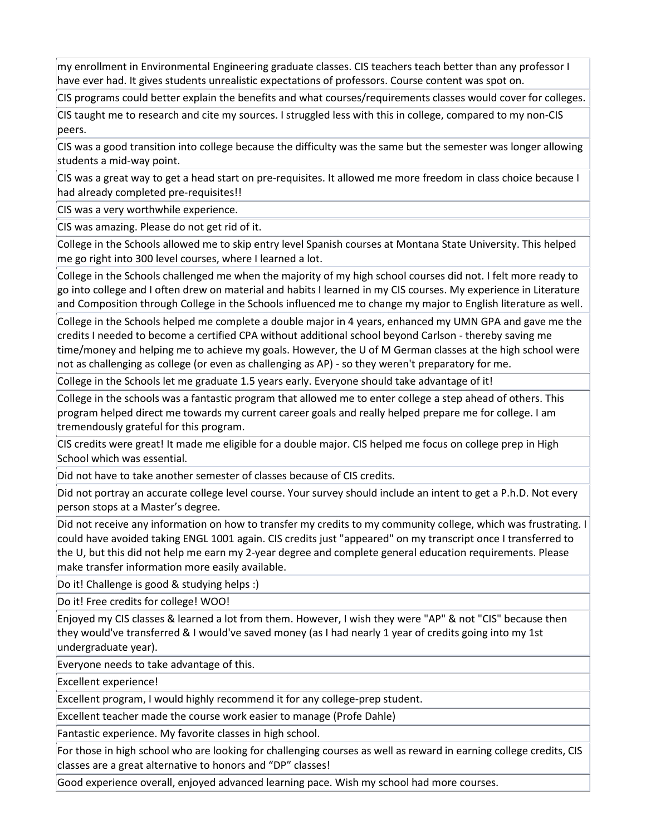my enrollment in Environmental Engineering graduate classes. CIS teachers teach better than any professor I have ever had. It gives students unrealistic expectations of professors. Course content was spot on.

CIS programs could better explain the benefits and what courses/requirements classes would cover for colleges.

CIS taught me to research and cite my sources. I struggled less with this in college, compared to my non-CIS peers.

CIS was a good transition into college because the difficulty was the same but the semester was longer allowing students a mid-way point.

CIS was a great way to get a head start on pre-requisites. It allowed me more freedom in class choice because I had already completed pre-requisites!!

CIS was a very worthwhile experience.

CIS was amazing. Please do not get rid of it.

College in the Schools allowed me to skip entry level Spanish courses at Montana State University. This helped me go right into 300 level courses, where I learned a lot.

College in the Schools challenged me when the majority of my high school courses did not. I felt more ready to go into college and I often drew on material and habits I learned in my CIS courses. My experience in Literature and Composition through College in the Schools influenced me to change my major to English literature as well.

College in the Schools helped me complete a double major in 4 years, enhanced my UMN GPA and gave me the credits I needed to become a certified CPA without additional school beyond Carlson - thereby saving me time/money and helping me to achieve my goals. However, the U of M German classes at the high school were not as challenging as college (or even as challenging as AP) - so they weren't preparatory for me.

College in the Schools let me graduate 1.5 years early. Everyone should take advantage of it!

College in the schools was a fantastic program that allowed me to enter college a step ahead of others. This program helped direct me towards my current career goals and really helped prepare me for college. I am tremendously grateful for this program.

CIS credits were great! It made me eligible for a double major. CIS helped me focus on college prep in High School which was essential.

Did not have to take another semester of classes because of CIS credits.

Did not portray an accurate college level course. Your survey should include an intent to get a P.h.D. Not every person stops at a Master's degree.

Did not receive any information on how to transfer my credits to my community college, which was frustrating. I could have avoided taking ENGL 1001 again. CIS credits just "appeared" on my transcript once I transferred to the U, but this did not help me earn my 2-year degree and complete general education requirements. Please make transfer information more easily available.

Do it! Challenge is good & studying helps :)

Do it! Free credits for college! WOO!

Enjoyed my CIS classes & learned a lot from them. However, I wish they were "AP" & not "CIS" because then they would've transferred & I would've saved money (as I had nearly 1 year of credits going into my 1st undergraduate year).

Everyone needs to take advantage of this.

Excellent experience!

Excellent program, I would highly recommend it for any college-prep student.

Excellent teacher made the course work easier to manage (Profe Dahle)

Fantastic experience. My favorite classes in high school.

For those in high school who are looking for challenging courses as well as reward in earning college credits, CIS classes are a great alternative to honors and "DP" classes!

Good experience overall, enjoyed advanced learning pace. Wish my school had more courses.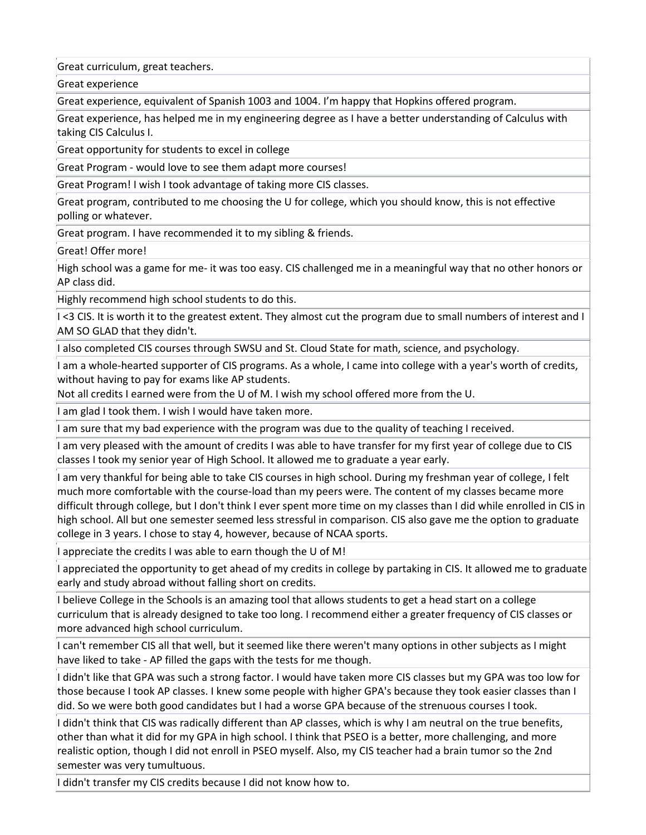Great curriculum, great teachers.

Great experience

Great experience, equivalent of Spanish 1003 and 1004. I'm happy that Hopkins offered program.

Great experience, has helped me in my engineering degree as I have a better understanding of Calculus with taking CIS Calculus I.

Great opportunity for students to excel in college

Great Program - would love to see them adapt more courses!

Great Program! I wish I took advantage of taking more CIS classes.

Great program, contributed to me choosing the U for college, which you should know, this is not effective polling or whatever.

Great program. I have recommended it to my sibling & friends.

Great! Offer more!

High school was a game for me- it was too easy. CIS challenged me in a meaningful way that no other honors or AP class did.

Highly recommend high school students to do this.

I <3 CIS. It is worth it to the greatest extent. They almost cut the program due to small numbers of interest and I AM SO GLAD that they didn't.

I also completed CIS courses through SWSU and St. Cloud State for math, science, and psychology.

I am a whole-hearted supporter of CIS programs. As a whole, I came into college with a year's worth of credits, without having to pay for exams like AP students.

Not all credits I earned were from the U of M. I wish my school offered more from the U.

I am glad I took them. I wish I would have taken more.

I am sure that my bad experience with the program was due to the quality of teaching I received.

I am very pleased with the amount of credits I was able to have transfer for my first year of college due to CIS classes I took my senior year of High School. It allowed me to graduate a year early.

I am very thankful for being able to take CIS courses in high school. During my freshman year of college, I felt much more comfortable with the course-load than my peers were. The content of my classes became more difficult through college, but I don't think I ever spent more time on my classes than I did while enrolled in CIS in high school. All but one semester seemed less stressful in comparison. CIS also gave me the option to graduate college in 3 years. I chose to stay 4, however, because of NCAA sports.

I appreciate the credits I was able to earn though the U of M!

I appreciated the opportunity to get ahead of my credits in college by partaking in CIS. It allowed me to graduate early and study abroad without falling short on credits.

I believe College in the Schools is an amazing tool that allows students to get a head start on a college curriculum that is already designed to take too long. I recommend either a greater frequency of CIS classes or more advanced high school curriculum.

I can't remember CIS all that well, but it seemed like there weren't many options in other subjects as I might have liked to take - AP filled the gaps with the tests for me though.

I didn't like that GPA was such a strong factor. I would have taken more CIS classes but my GPA was too low for those because I took AP classes. I knew some people with higher GPA's because they took easier classes than I did. So we were both good candidates but I had a worse GPA because of the strenuous courses I took.

I didn't think that CIS was radically different than AP classes, which is why I am neutral on the true benefits, other than what it did for my GPA in high school. I think that PSEO is a better, more challenging, and more realistic option, though I did not enroll in PSEO myself. Also, my CIS teacher had a brain tumor so the 2nd semester was very tumultuous.

I didn't transfer my CIS credits because I did not know how to.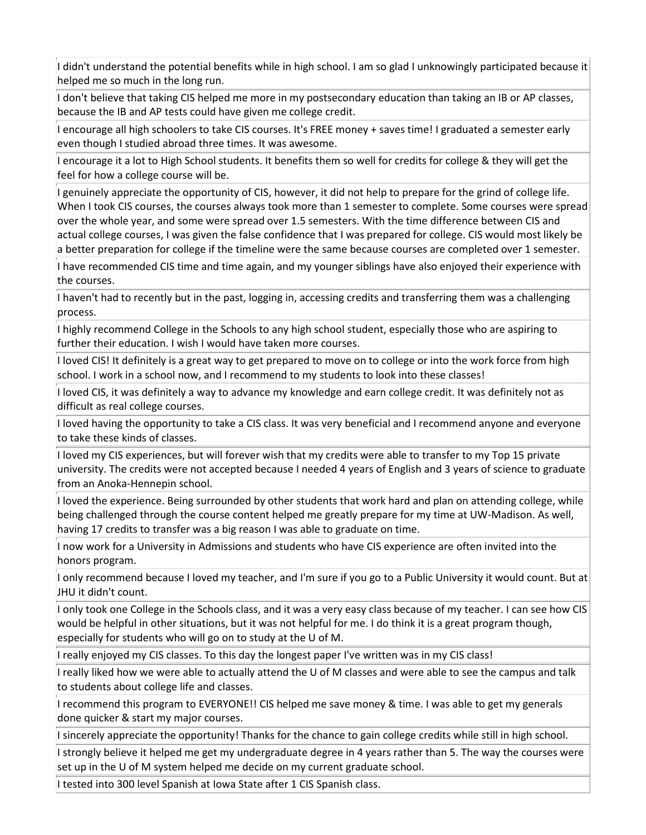I didn't understand the potential benefits while in high school. I am so glad I unknowingly participated because it helped me so much in the long run.

I don't believe that taking CIS helped me more in my postsecondary education than taking an IB or AP classes, because the IB and AP tests could have given me college credit.

I encourage all high schoolers to take CIS courses. It's FREE money + saves time! I graduated a semester early even though I studied abroad three times. It was awesome.

I encourage it a lot to High School students. It benefits them so well for credits for college & they will get the feel for how a college course will be.

If genuinely appreciate the opportunity of CIS, however, it did not help to prepare for the grind of college life. When I took CIS courses, the courses always took more than 1 semester to complete. Some courses were spread over the whole year, and some were spread over 1.5 semesters. With the time difference between CIS and actual college courses, I was given the false confidence that I was prepared for college. CIS would most likely be a better preparation for college if the timeline were the same because courses are completed over 1 semester.

I have recommended CIS time and time again, and my younger siblings have also enjoyed their experience with the courses.

I haven't had to recently but in the past, logging in, accessing credits and transferring them was a challenging process.

I highly recommend College in the Schools to any high school student, especially those who are aspiring to further their education. I wish I would have taken more courses.

I loved CIS! It definitely is a great way to get prepared to move on to college or into the work force from high school. I work in a school now, and I recommend to my students to look into these classes!

I loved CIS, it was definitely a way to advance my knowledge and earn college credit. It was definitely not as difficult as real college courses.

I loved having the opportunity to take a CIS class. It was very beneficial and I recommend anyone and everyone to take these kinds of classes.

I loved my CIS experiences, but will forever wish that my credits were able to transfer to my Top 15 private university. The credits were not accepted because I needed 4 years of English and 3 years of science to graduate from an Anoka-Hennepin school.

I loved the experience. Being surrounded by other students that work hard and plan on attending college, while being challenged through the course content helped me greatly prepare for my time at UW-Madison. As well, having 17 credits to transfer was a big reason I was able to graduate on time.

I now work for a University in Admissions and students who have CIS experience are often invited into the honors program.

I only recommend because I loved my teacher, and I'm sure if you go to a Public University it would count. But at JHU it didn't count.

I only took one College in the Schools class, and it was a very easy class because of my teacher. I can see how CIS would be helpful in other situations, but it was not helpful for me. I do think it is a great program though, especially for students who will go on to study at the U of M.

I really enjoyed my CIS classes. To this day the longest paper I've written was in my CIS class!

I really liked how we were able to actually attend the U of M classes and were able to see the campus and talk to students about college life and classes.

I recommend this program to EVERYONE!! CIS helped me save money & time. I was able to get my generals done quicker & start my major courses.

I sincerely appreciate the opportunity! Thanks for the chance to gain college credits while still in high school.

I strongly believe it helped me get my undergraduate degree in 4 years rather than 5. The way the courses were set up in the U of M system helped me decide on my current graduate school.

I tested into 300 level Spanish at Iowa State after 1 CIS Spanish class.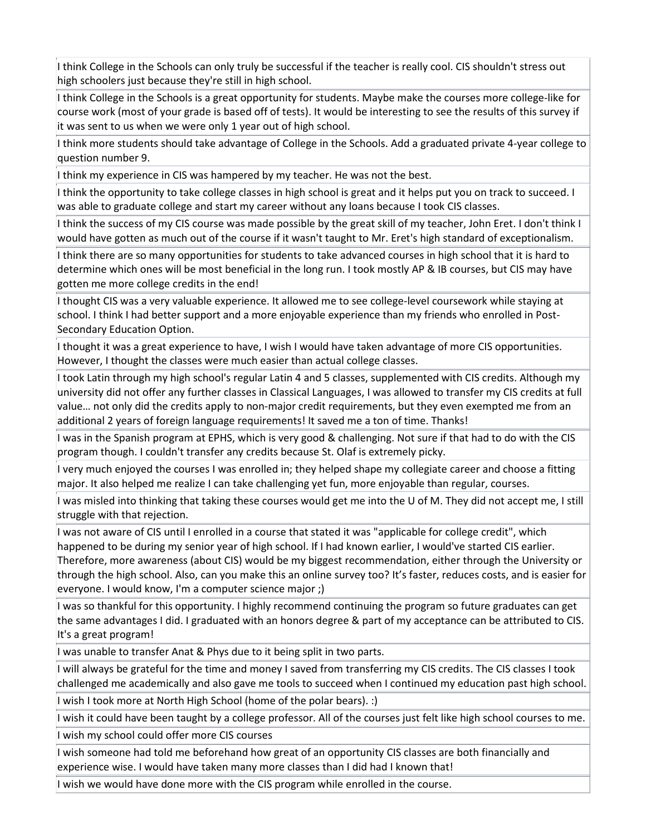I think College in the Schools can only truly be successful if the teacher is really cool. CIS shouldn't stress out high schoolers just because they're still in high school.

I think College in the Schools is a great opportunity for students. Maybe make the courses more college-like for course work (most of your grade is based off of tests). It would be interesting to see the results of this survey if it was sent to us when we were only 1 year out of high school.

I think more students should take advantage of College in the Schools. Add a graduated private 4-year college to question number 9.

I think my experience in CIS was hampered by my teacher. He was not the best.

I think the opportunity to take college classes in high school is great and it helps put you on track to succeed. I was able to graduate college and start my career without any loans because I took CIS classes.

I think the success of my CIS course was made possible by the great skill of my teacher, John Eret. I don't think I would have gotten as much out of the course if it wasn't taught to Mr. Eret's high standard of exceptionalism.

I think there are so many opportunities for students to take advanced courses in high school that it is hard to determine which ones will be most beneficial in the long run. I took mostly AP & IB courses, but CIS may have gotten me more college credits in the end!

I thought CIS was a very valuable experience. It allowed me to see college-level coursework while staying at school. I think I had better support and a more enjoyable experience than my friends who enrolled in Post-Secondary Education Option.

I thought it was a great experience to have, I wish I would have taken advantage of more CIS opportunities. However, I thought the classes were much easier than actual college classes.

I took Latin through my high school's regular Latin 4 and 5 classes, supplemented with CIS credits. Although my university did not offer any further classes in Classical Languages, I was allowed to transfer my CIS credits at full value… not only did the credits apply to non-major credit requirements, but they even exempted me from an additional 2 years of foreign language requirements! It saved me a ton of time. Thanks!

I was in the Spanish program at EPHS, which is very good & challenging. Not sure if that had to do with the CIS program though. I couldn't transfer any credits because St. Olaf is extremely picky.

I very much enjoyed the courses I was enrolled in; they helped shape my collegiate career and choose a fitting major. It also helped me realize I can take challenging yet fun, more enjoyable than regular, courses.

I was misled into thinking that taking these courses would get me into the U of M. They did not accept me, I still struggle with that rejection.

I was not aware of CIS until I enrolled in a course that stated it was "applicable for college credit", which happened to be during my senior year of high school. If I had known earlier, I would've started CIS earlier. Therefore, more awareness (about CIS) would be my biggest recommendation, either through the University or through the high school. Also, can you make this an online survey too? It's faster, reduces costs, and is easier for everyone. I would know, I'm a computer science major ;)

I was so thankful for this opportunity. I highly recommend continuing the program so future graduates can get the same advantages I did. I graduated with an honors degree & part of my acceptance can be attributed to CIS. It's a great program!

I was unable to transfer Anat & Phys due to it being split in two parts.

I will always be grateful for the time and money I saved from transferring my CIS credits. The CIS classes I took challenged me academically and also gave me tools to succeed when I continued my education past high school.

I wish I took more at North High School (home of the polar bears). :)

I wish it could have been taught by a college professor. All of the courses just felt like high school courses to me.

I wish my school could offer more CIS courses

I wish someone had told me beforehand how great of an opportunity CIS classes are both financially and experience wise. I would have taken many more classes than I did had I known that!

I wish we would have done more with the CIS program while enrolled in the course.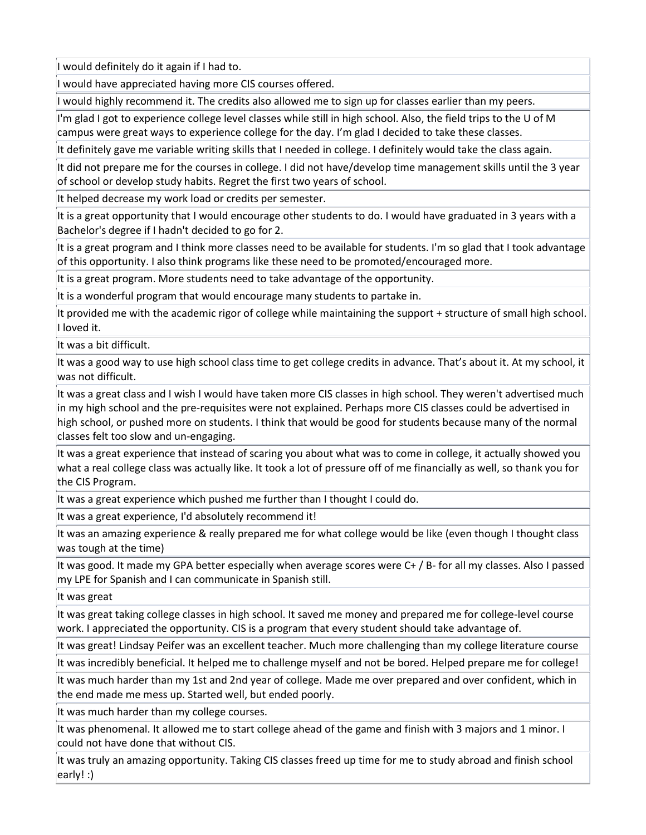I would definitely do it again if I had to.

I would have appreciated having more CIS courses offered.

I would highly recommend it. The credits also allowed me to sign up for classes earlier than my peers.

I'm glad I got to experience college level classes while still in high school. Also, the field trips to the U of M campus were great ways to experience college for the day. I'm glad I decided to take these classes.

It definitely gave me variable writing skills that I needed in college. I definitely would take the class again.

It did not prepare me for the courses in college. I did not have/develop time management skills until the 3 year of school or develop study habits. Regret the first two years of school.

It helped decrease my work load or credits per semester.

It is a great opportunity that I would encourage other students to do. I would have graduated in 3 years with a Bachelor's degree if I hadn't decided to go for 2.

It is a great program and I think more classes need to be available for students. I'm so glad that I took advantage of this opportunity. I also think programs like these need to be promoted/encouraged more.

It is a great program. More students need to take advantage of the opportunity.

It is a wonderful program that would encourage many students to partake in.

It provided me with the academic rigor of college while maintaining the support + structure of small high school. I loved it.

It was a bit difficult.

It was a good way to use high school class time to get college credits in advance. That's about it. At my school, it was not difficult.

It was a great class and I wish I would have taken more CIS classes in high school. They weren't advertised much in my high school and the pre-requisites were not explained. Perhaps more CIS classes could be advertised in high school, or pushed more on students. I think that would be good for students because many of the normal classes felt too slow and un-engaging.

It was a great experience that instead of scaring you about what was to come in college, it actually showed you what a real college class was actually like. It took a lot of pressure off of me financially as well, so thank you for the CIS Program.

It was a great experience which pushed me further than I thought I could do.

It was a great experience, I'd absolutely recommend it!

It was an amazing experience & really prepared me for what college would be like (even though I thought class was tough at the time)

It was good. It made my GPA better especially when average scores were C+ / B- for all my classes. Also I passed my LPE for Spanish and I can communicate in Spanish still.

It was great

It was great taking college classes in high school. It saved me money and prepared me for college-level course work. I appreciated the opportunity. CIS is a program that every student should take advantage of.

It was great! Lindsay Peifer was an excellent teacher. Much more challenging than my college literature course

It was incredibly beneficial. It helped me to challenge myself and not be bored. Helped prepare me for college!

It was much harder than my 1st and 2nd year of college. Made me over prepared and over confident, which in the end made me mess up. Started well, but ended poorly.

It was much harder than my college courses.

It was phenomenal. It allowed me to start college ahead of the game and finish with 3 majors and 1 minor. I could not have done that without CIS.

It was truly an amazing opportunity. Taking CIS classes freed up time for me to study abroad and finish school early! :)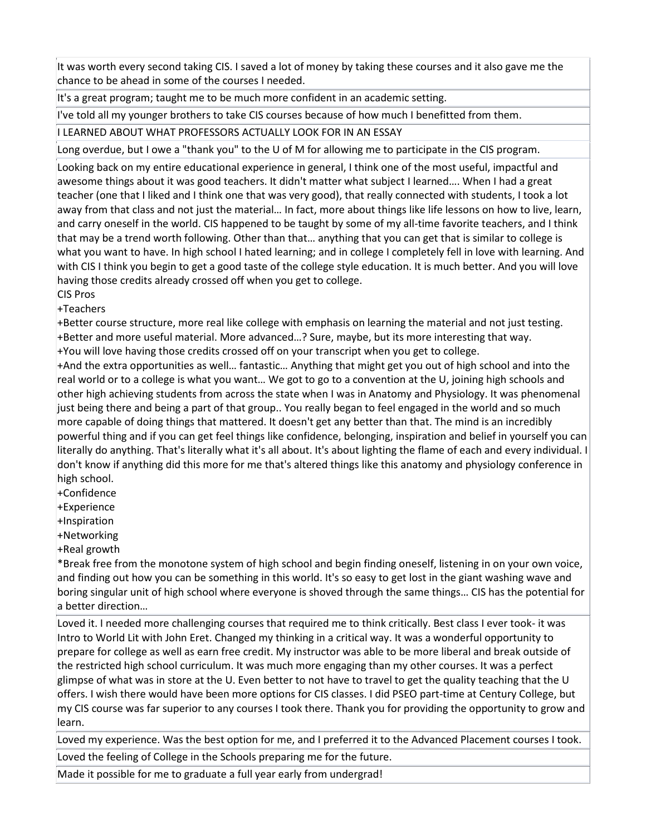It was worth every second taking CIS. I saved a lot of money by taking these courses and it also gave me the chance to be ahead in some of the courses I needed.

It's a great program; taught me to be much more confident in an academic setting.

I've told all my younger brothers to take CIS courses because of how much I benefitted from them.

I LEARNED ABOUT WHAT PROFESSORS ACTUALLY LOOK FOR IN AN ESSAY

Long overdue, but I owe a "thank you" to the U of M for allowing me to participate in the CIS program.

Looking back on my entire educational experience in general, I think one of the most useful, impactful and awesome things about it was good teachers. It didn't matter what subject I learned…. When I had a great teacher (one that I liked and I think one that was very good), that really connected with students, I took a lot away from that class and not just the material… In fact, more about things like life lessons on how to live, learn, and carry oneself in the world. CIS happened to be taught by some of my all-time favorite teachers, and I think that may be a trend worth following. Other than that… anything that you can get that is similar to college is what you want to have. In high school I hated learning; and in college I completely fell in love with learning. And with CIS I think you begin to get a good taste of the college style education. It is much better. And you will love having those credits already crossed off when you get to college.

CIS Pros

+Teachers

+Better course structure, more real like college with emphasis on learning the material and not just testing. +Better and more useful material. More advanced…? Sure, maybe, but its more interesting that way. +You will love having those credits crossed off on your transcript when you get to college.

+And the extra opportunities as well… fantastic… Anything that might get you out of high school and into the real world or to a college is what you want… We got to go to a convention at the U, joining high schools and other high achieving students from across the state when I was in Anatomy and Physiology. It was phenomenal just being there and being a part of that group.. You really began to feel engaged in the world and so much more capable of doing things that mattered. It doesn't get any better than that. The mind is an incredibly powerful thing and if you can get feel things like confidence, belonging, inspiration and belief in yourself you can literally do anything. That's literally what it's all about. It's about lighting the flame of each and every individual. I don't know if anything did this more for me that's altered things like this anatomy and physiology conference in high school.

+Confidence

+Experience

+Inspiration

+Networking

+Real growth

\*Break free from the monotone system of high school and begin finding oneself, listening in on your own voice, and finding out how you can be something in this world. It's so easy to get lost in the giant washing wave and boring singular unit of high school where everyone is shoved through the same things… CIS has the potential for a better direction…

Loved it. I needed more challenging courses that required me to think critically. Best class I ever took- it was Intro to World Lit with John Eret. Changed my thinking in a critical way. It was a wonderful opportunity to prepare for college as well as earn free credit. My instructor was able to be more liberal and break outside of the restricted high school curriculum. It was much more engaging than my other courses. It was a perfect glimpse of what was in store at the U. Even better to not have to travel to get the quality teaching that the U offers. I wish there would have been more options for CIS classes. I did PSEO part-time at Century College, but my CIS course was far superior to any courses I took there. Thank you for providing the opportunity to grow and learn.

Loved my experience. Was the best option for me, and I preferred it to the Advanced Placement courses I took. Loved the feeling of College in the Schools preparing me for the future.

Made it possible for me to graduate a full year early from undergrad!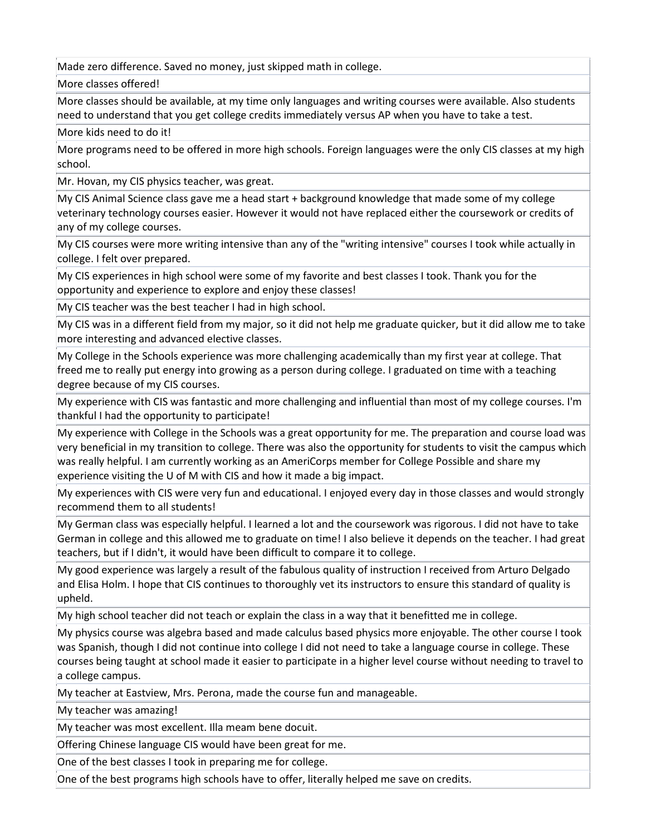Made zero difference. Saved no money, just skipped math in college.

More classes offered!

More classes should be available, at my time only languages and writing courses were available. Also students need to understand that you get college credits immediately versus AP when you have to take a test.

More kids need to do it!

More programs need to be offered in more high schools. Foreign languages were the only CIS classes at my high school.

Mr. Hovan, my CIS physics teacher, was great.

My CIS Animal Science class gave me a head start + background knowledge that made some of my college veterinary technology courses easier. However it would not have replaced either the coursework or credits of any of my college courses.

My CIS courses were more writing intensive than any of the "writing intensive" courses I took while actually in college. I felt over prepared.

My CIS experiences in high school were some of my favorite and best classes I took. Thank you for the opportunity and experience to explore and enjoy these classes!

My CIS teacher was the best teacher I had in high school.

My CIS was in a different field from my major, so it did not help me graduate quicker, but it did allow me to take more interesting and advanced elective classes.

My College in the Schools experience was more challenging academically than my first year at college. That freed me to really put energy into growing as a person during college. I graduated on time with a teaching degree because of my CIS courses.

My experience with CIS was fantastic and more challenging and influential than most of my college courses. I'm thankful I had the opportunity to participate!

My experience with College in the Schools was a great opportunity for me. The preparation and course load was very beneficial in my transition to college. There was also the opportunity for students to visit the campus which was really helpful. I am currently working as an AmeriCorps member for College Possible and share my experience visiting the U of M with CIS and how it made a big impact.

My experiences with CIS were very fun and educational. I enjoyed every day in those classes and would strongly recommend them to all students!

My German class was especially helpful. I learned a lot and the coursework was rigorous. I did not have to take German in college and this allowed me to graduate on time! I also believe it depends on the teacher. I had great teachers, but if I didn't, it would have been difficult to compare it to college.

My good experience was largely a result of the fabulous quality of instruction I received from Arturo Delgado and Elisa Holm. I hope that CIS continues to thoroughly vet its instructors to ensure this standard of quality is upheld.

My high school teacher did not teach or explain the class in a way that it benefitted me in college.

My physics course was algebra based and made calculus based physics more enjoyable. The other course I took was Spanish, though I did not continue into college I did not need to take a language course in college. These courses being taught at school made it easier to participate in a higher level course without needing to travel to a college campus.

My teacher at Eastview, Mrs. Perona, made the course fun and manageable.

My teacher was amazing!

My teacher was most excellent. Illa meam bene docuit.

Offering Chinese language CIS would have been great for me.

One of the best classes I took in preparing me for college.

One of the best programs high schools have to offer, literally helped me save on credits.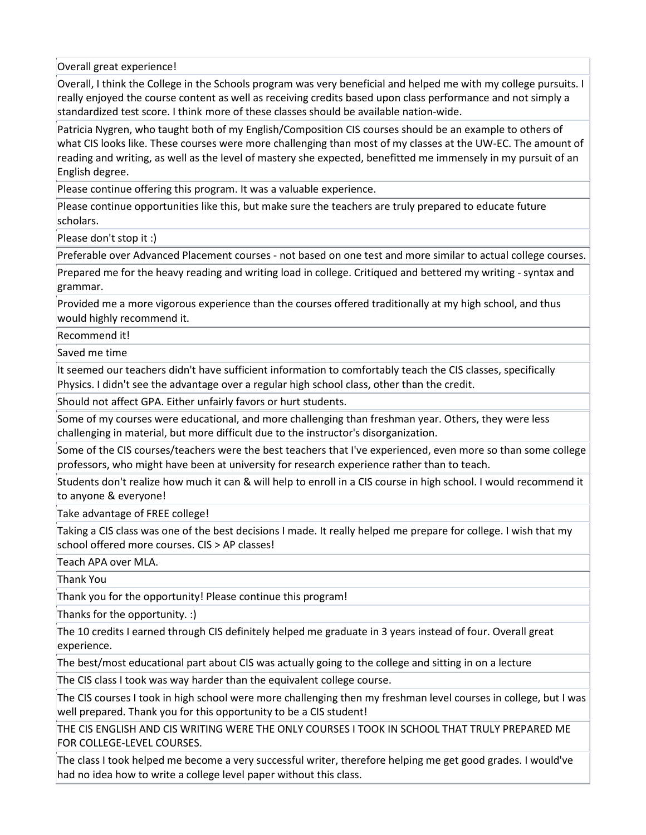Overall great experience!

Overall, I think the College in the Schools program was very beneficial and helped me with my college pursuits. I really enjoyed the course content as well as receiving credits based upon class performance and not simply a standardized test score. I think more of these classes should be available nation-wide.

Patricia Nygren, who taught both of my English/Composition CIS courses should be an example to others of what CIS looks like. These courses were more challenging than most of my classes at the UW-EC. The amount of reading and writing, as well as the level of mastery she expected, benefitted me immensely in my pursuit of an English degree.

Please continue offering this program. It was a valuable experience.

Please continue opportunities like this, but make sure the teachers are truly prepared to educate future scholars.

Please don't stop it :)

Preferable over Advanced Placement courses - not based on one test and more similar to actual college courses.

Prepared me for the heavy reading and writing load in college. Critiqued and bettered my writing - syntax and grammar.

Provided me a more vigorous experience than the courses offered traditionally at my high school, and thus would highly recommend it.

Recommend it!

Saved me time

It seemed our teachers didn't have sufficient information to comfortably teach the CIS classes, specifically Physics. I didn't see the advantage over a regular high school class, other than the credit.

Should not affect GPA. Either unfairly favors or hurt students.

Some of my courses were educational, and more challenging than freshman year. Others, they were less challenging in material, but more difficult due to the instructor's disorganization.

Some of the CIS courses/teachers were the best teachers that I've experienced, even more so than some college professors, who might have been at university for research experience rather than to teach.

Students don't realize how much it can & will help to enroll in a CIS course in high school. I would recommend it to anyone & everyone!

Take advantage of FREE college!

Taking a CIS class was one of the best decisions I made. It really helped me prepare for college. I wish that my school offered more courses. CIS > AP classes!

Teach APA over MLA.

Thank You

Thank you for the opportunity! Please continue this program!

Thanks for the opportunity. :)

The 10 credits I earned through CIS definitely helped me graduate in 3 years instead of four. Overall great experience.

The best/most educational part about CIS was actually going to the college and sitting in on a lecture

The CIS class I took was way harder than the equivalent college course.

The CIS courses I took in high school were more challenging then my freshman level courses in college, but I was well prepared. Thank you for this opportunity to be a CIS student!

THE CIS ENGLISH AND CIS WRITING WERE THE ONLY COURSES I TOOK IN SCHOOL THAT TRULY PREPARED ME FOR COLLEGE-LEVEL COURSES.

The class I took helped me become a very successful writer, therefore helping me get good grades. I would've had no idea how to write a college level paper without this class.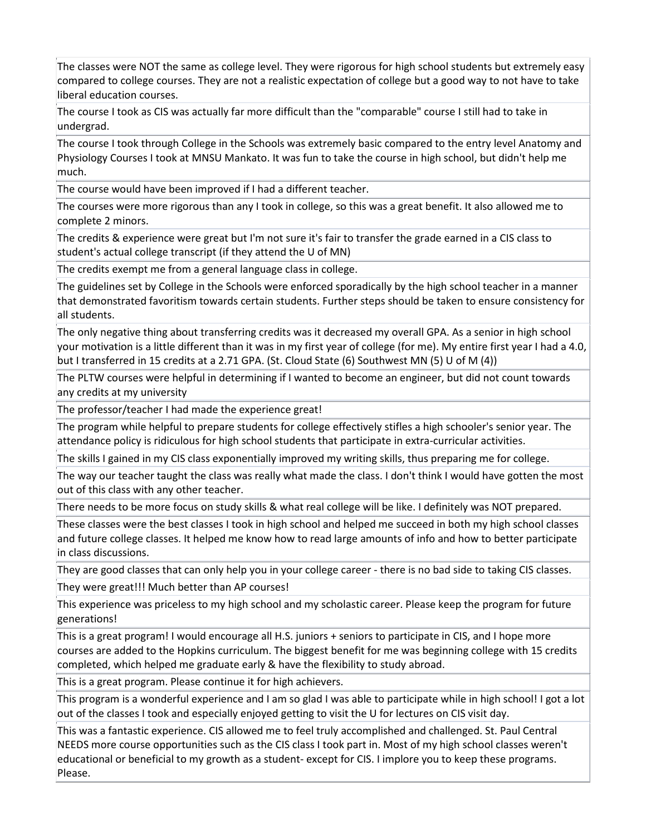The classes were NOT the same as college level. They were rigorous for high school students but extremely easy compared to college courses. They are not a realistic expectation of college but a good way to not have to take liberal education courses.

The course I took as CIS was actually far more difficult than the "comparable" course I still had to take in undergrad.

The course I took through College in the Schools was extremely basic compared to the entry level Anatomy and Physiology Courses I took at MNSU Mankato. It was fun to take the course in high school, but didn't help me much.

The course would have been improved if I had a different teacher.

The courses were more rigorous than any I took in college, so this was a great benefit. It also allowed me to complete 2 minors.

The credits & experience were great but I'm not sure it's fair to transfer the grade earned in a CIS class to student's actual college transcript (if they attend the U of MN)

The credits exempt me from a general language class in college.

The guidelines set by College in the Schools were enforced sporadically by the high school teacher in a manner that demonstrated favoritism towards certain students. Further steps should be taken to ensure consistency for all students.

The only negative thing about transferring credits was it decreased my overall GPA. As a senior in high school your motivation is a little different than it was in my first year of college (for me). My entire first year I had a 4.0, but I transferred in 15 credits at a 2.71 GPA. (St. Cloud State (6) Southwest MN (5) U of M (4))

The PLTW courses were helpful in determining if I wanted to become an engineer, but did not count towards any credits at my university

The professor/teacher I had made the experience great!

The program while helpful to prepare students for college effectively stifles a high schooler's senior year. The attendance policy is ridiculous for high school students that participate in extra-curricular activities.

The skills I gained in my CIS class exponentially improved my writing skills, thus preparing me for college.

The way our teacher taught the class was really what made the class. I don't think I would have gotten the most out of this class with any other teacher.

There needs to be more focus on study skills & what real college will be like. I definitely was NOT prepared.

These classes were the best classes I took in high school and helped me succeed in both my high school classes and future college classes. It helped me know how to read large amounts of info and how to better participate in class discussions.

They are good classes that can only help you in your college career - there is no bad side to taking CIS classes.

They were great!!! Much better than AP courses!

This experience was priceless to my high school and my scholastic career. Please keep the program for future generations!

This is a great program! I would encourage all H.S. juniors + seniors to participate in CIS, and I hope more courses are added to the Hopkins curriculum. The biggest benefit for me was beginning college with 15 credits completed, which helped me graduate early & have the flexibility to study abroad.

This is a great program. Please continue it for high achievers.

This program is a wonderful experience and I am so glad I was able to participate while in high school! I got a lot out of the classes I took and especially enjoyed getting to visit the U for lectures on CIS visit day.

This was a fantastic experience. CIS allowed me to feel truly accomplished and challenged. St. Paul Central NEEDS more course opportunities such as the CIS class I took part in. Most of my high school classes weren't educational or beneficial to my growth as a student- except for CIS. I implore you to keep these programs. Please.